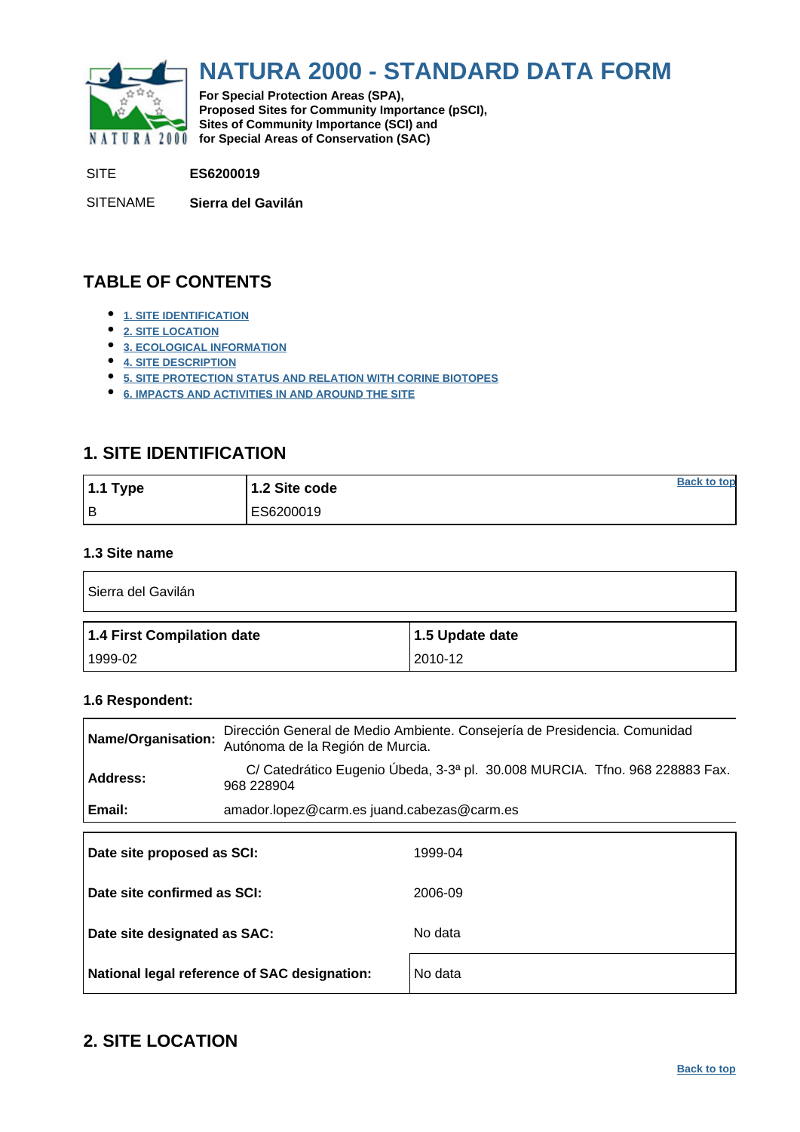<span id="page-0-0"></span>

# **NATURA 2000 - STANDARD DATA FORM**

**For Special Protection Areas (SPA), Proposed Sites for Community Importance (pSCI), Sites of Community Importance (SCI) and NATURA 2000** for Special Areas of Conservation (SAC)

SITE **ES6200019**

SITENAME **Sierra del Gavilán**

# **TABLE OF CONTENTS**

- **[1. SITE IDENTIFICATION](#page-0-1)**
- **[2. SITE LOCATION](#page-0-2)**
- **[3. ECOLOGICAL INFORMATION](#page-1-0)**
- **[4. SITE DESCRIPTION](#page-6-0)**
- **[5. SITE PROTECTION STATUS AND RELATION WITH CORINE BIOTOPES](#page-8-0)**
- **[6. IMPACTS AND ACTIVITIES IN AND AROUND THE SITE](#page-9-0)**

# <span id="page-0-1"></span>**1. SITE IDENTIFICATION**

| 1.1 Type | 1.2 Site code | <b>Back to top</b> |
|----------|---------------|--------------------|
| l B      | ES6200019     |                    |

# **1.3 Site name**

| Sierra del Gavilán         |                 |  |  |  |  |  |  |
|----------------------------|-----------------|--|--|--|--|--|--|
| 1.4 First Compilation date | 1.5 Update date |  |  |  |  |  |  |
|                            |                 |  |  |  |  |  |  |

# **1.6 Respondent:**

| Name/Organisation:          | Dirección General de Medio Ambiente. Consejería de Presidencia. Comunidad<br>Autónoma de la Región de Murcia. |
|-----------------------------|---------------------------------------------------------------------------------------------------------------|
| <b>Address:</b>             | C/ Catedrático Eugenio Úbeda, 3-3ª pl. 30.008 MURCIA. Tíno. 968 228883 Fax.<br>968 228904                     |
| Email:                      | amador.lopez@carm.es juand.cabezas@carm.es                                                                    |
| Date site proposed as SCI:  | 1999-04                                                                                                       |
| Date site confirmed as SCI: | 2006-09                                                                                                       |

| Date site designated as SAC:                 | No data |
|----------------------------------------------|---------|
| National legal reference of SAC designation: | No data |

# <span id="page-0-2"></span>**2. SITE LOCATION**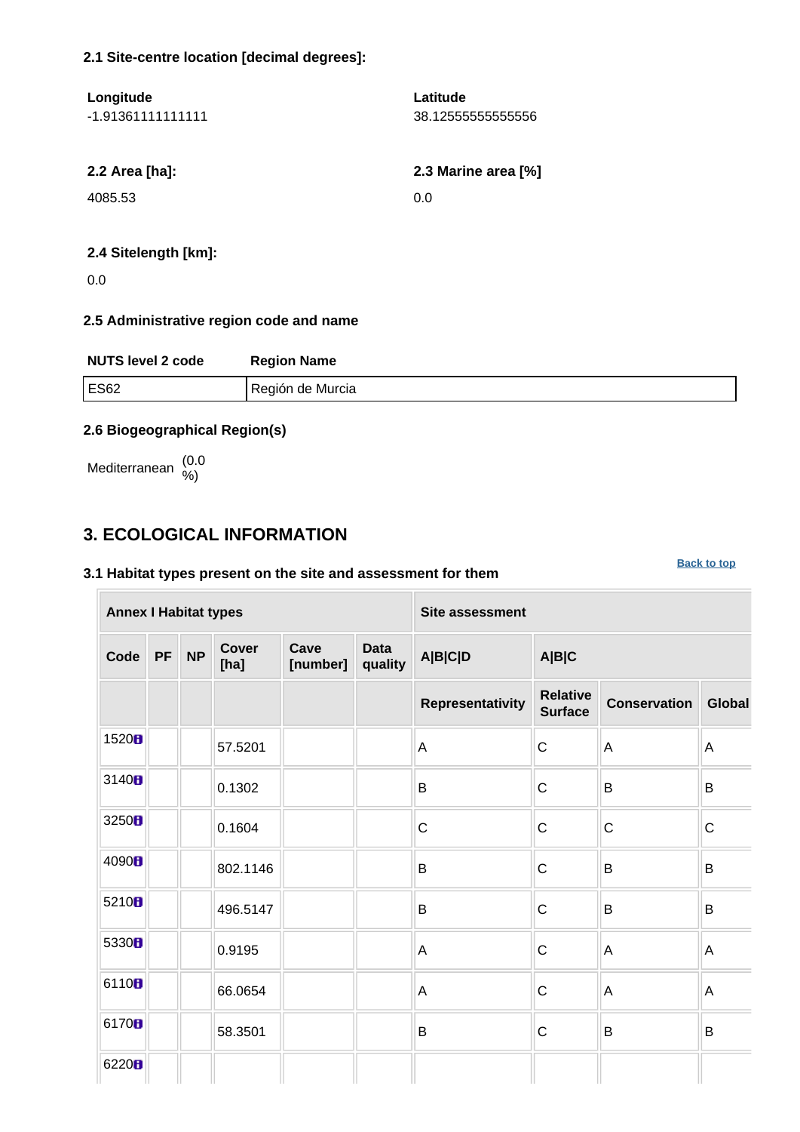# **2.1 Site-centre location [decimal degrees]:**

| Latitude            |
|---------------------|
| 38.12555555555556   |
|                     |
|                     |
| 2.3 Marine area [%] |
| 0.0                 |
|                     |
|                     |
|                     |

# **2.4 Sitelength [km]:**

0.0

# **2.5 Administrative region code and name**

| <b>NUTS level 2 code</b> | <b>Region Name</b> |
|--------------------------|--------------------|
| <b>ES62</b>              | Región de Murcia   |

**[Back to top](#page-0-0)**

# **2.6 Biogeographical Region(s)**

Mediterranean (0.0 %)

# <span id="page-1-0"></span>**3. ECOLOGICAL INFORMATION**

# **3.1 Habitat types present on the site and assessment for them**

**Annex I Habitat types Site assessment Code PF NP Cover [ha] Cave [number] Data quality A|B|C|D A|B|C Representativity Relative Surface Conservation Global** 1520 **6** 57.5201 **A C** A 3140 **b**  $\begin{array}{|c|c|c|c|c|}\n\hline\n\text{.} & \text{.} & \text{.} & \text{.} & \text{.} & \text{.} & \text{.} & \text{.} & \text{.} & \text{.} & \text{.} & \text{.} & \text{.} & \text{.} & \text{.} & \text{.} & \text{.} & \text{.} & \text{.} & \text{.} & \text{.} & \text{.} & \text{.} & \text{.} & \text{.} & \text{.} & \text{.} & \text{.} & \text{.} & \text{.} & \text{.} & \text{$ 3250  $\parallel$   $\parallel$  0.1604  $\parallel$   $\parallel$  c  $\parallel$  c  $\parallel$  c  $\parallel$  c  $\parallel$  c  $\begin{array}{c|c|c|c|c|c|c|c|c} \hline \multicolumn{3}{c|c|c|c} \multicolumn{3}{c|c|c} \multicolumn{3}{c|c|c} \multicolumn{3}{c|c|c} \multicolumn{3}{c|c|c} \multicolumn{3}{c|c|c} \multicolumn{3}{c|c|c} \multicolumn{3}{c|c|c} \multicolumn{3}{c|c|c} \multicolumn{3}{c|c|c} \multicolumn{3}{c|c|c} \multicolumn{3}{c|c|c} \multicolumn{3}{c|c|c} \multicolumn{3}{c|c|c} \multicolumn{3}{c|c$ 5210  $\blacksquare$  496.5147 B B C B B 5330  $\blacksquare$  0.9195  $\blacksquare$  A  $\blacksquare$  A  $\blacksquare$  A  $\blacksquare$  A 6110  $\begin{array}{|c|c|c|c|c|c|}\n\hline\n66.0654 & A & A\n\end{array}$ 6170 **6** 58.3501 B B C B B 6220<sub>B</sub>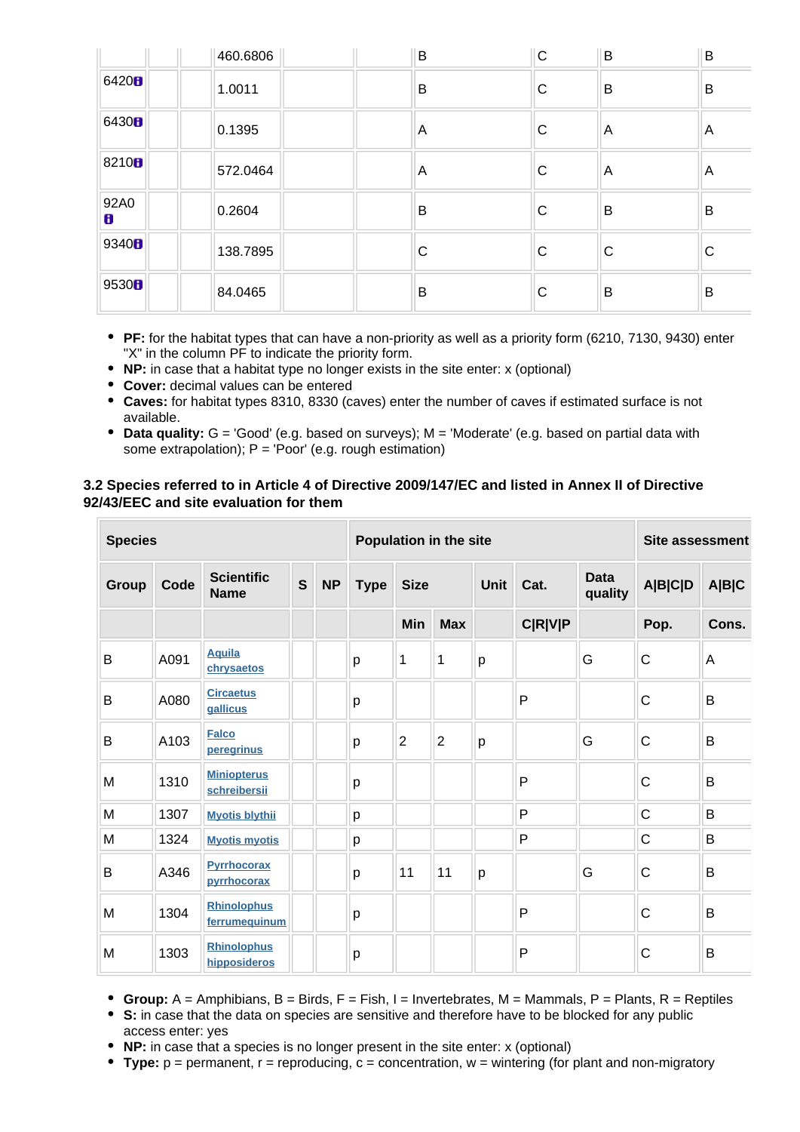|                   | 460.6806 | B | $\mathsf C$ | B            | B   |
|-------------------|----------|---|-------------|--------------|-----|
| 6420 <b>8</b>     | 1.0011   | B | С           | B            | B   |
| 6430 <sub>B</sub> | 0.1395   | A | С           | A            | l A |
| 8210 <sub>B</sub> | 572.0464 | A | C           | A            | A   |
| 92A0<br>8         | 0.2604   | B | С           | B            | B   |
| 9340 <sub>B</sub> | 138.7895 | C | С           | $\mathsf{C}$ | C   |
| 9530 <b>B</b>     | 84.0465  | B | С           | B            | B   |

- **PF:** for the habitat types that can have a non-priority as well as a priority form (6210, 7130, 9430) enter "X" in the column PF to indicate the priority form.
- **NP:** in case that a habitat type no longer exists in the site enter: x (optional)
- **Cover:** decimal values can be entered
- **Caves:** for habitat types 8310, 8330 (caves) enter the number of caves if estimated surface is not available.
- **Data quality:** G = 'Good' (e.g. based on surveys); M = 'Moderate' (e.g. based on partial data with some extrapolation);  $P = 'Poor'$  (e.g. rough estimation)

# **3.2 Species referred to in Article 4 of Directive 2009/147/EC and listed in Annex II of Directive 92/43/EEC and site evaluation for them**

| <b>Species</b> |      |                                     |              |           |              | Population in the site |                |   |                | <b>Site assessment</b> |              |       |  |  |      |                        |                |       |
|----------------|------|-------------------------------------|--------------|-----------|--------------|------------------------|----------------|---|----------------|------------------------|--------------|-------|--|--|------|------------------------|----------------|-------|
| Group          | Code | <b>Scientific</b><br><b>Name</b>    | $\mathbf{s}$ | <b>NP</b> | <b>Type</b>  |                        | <b>Size</b>    |   |                |                        |              |       |  |  | Cat. | <b>Data</b><br>quality | <b>A B C D</b> | A B C |
|                |      |                                     |              |           |              | Min                    | <b>Max</b>     |   | <b>C R V P</b> |                        | Pop.         | Cons. |  |  |      |                        |                |       |
| B              | A091 | <b>Aquila</b><br>chrysaetos         |              |           | $\mathsf{p}$ | 1                      | 1              | p |                | G                      | $\mathsf C$  | A     |  |  |      |                        |                |       |
| B              | A080 | <b>Circaetus</b><br>gallicus        |              |           | p            |                        |                |   | P              |                        | C            | B     |  |  |      |                        |                |       |
| B              | A103 | <b>Falco</b><br>peregrinus          |              |           | p            | $\overline{2}$         | $\overline{2}$ | p |                | G                      | C            | B     |  |  |      |                        |                |       |
| M              | 1310 | <b>Miniopterus</b><br>schreibersii  |              |           | р            |                        |                |   | P              |                        | C            | B     |  |  |      |                        |                |       |
| M              | 1307 | <b>Myotis blythii</b>               |              |           | p            |                        |                |   | P              |                        | $\mathsf C$  | B     |  |  |      |                        |                |       |
| M              | 1324 | <b>Myotis myotis</b>                |              |           | p            |                        |                |   | P              |                        | $\mathsf{C}$ | B     |  |  |      |                        |                |       |
| B              | A346 | <b>Pyrrhocorax</b><br>pyrrhocorax   |              |           | р            | 11                     | 11             | p |                | G                      | C            | B     |  |  |      |                        |                |       |
| M              | 1304 | <b>Rhinolophus</b><br>ferrumequinum |              |           | p            |                        |                |   | P              |                        | $\mathsf{C}$ | B     |  |  |      |                        |                |       |
| M              | 1303 | <b>Rhinolophus</b><br>hipposideros  |              |           | p            |                        |                |   | $\mathsf{P}$   |                        | $\mathsf{C}$ | B     |  |  |      |                        |                |       |

- **Group:**  $A =$  Amphibians,  $B =$  Birds,  $F =$  Fish,  $I =$  Invertebrates,  $M =$  Mammals,  $P =$  Plants,  $R =$  Reptiles
- **S:** in case that the data on species are sensitive and therefore have to be blocked for any public access enter: yes
- **NP:** in case that a species is no longer present in the site enter: x (optional)
- **Type:** p = permanent, r = reproducing, c = concentration, w = wintering (for plant and non-migratory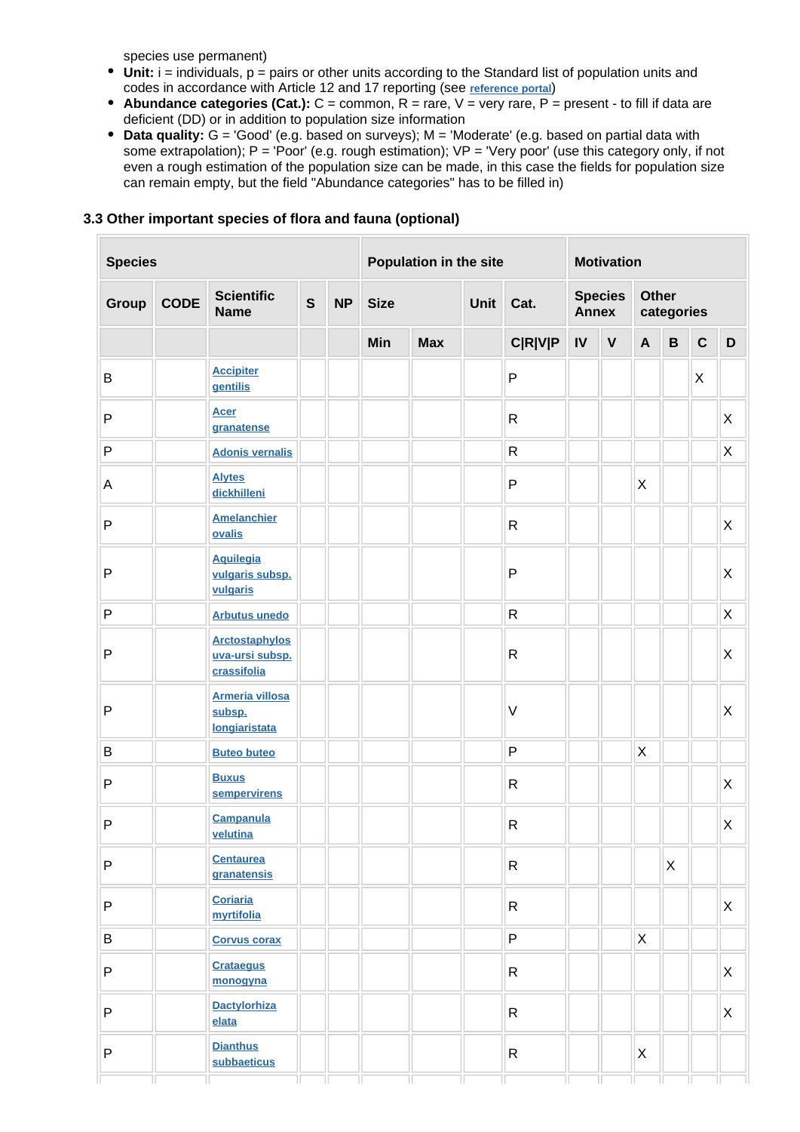species use permanent)

 $\overline{\mathbb{R}^n}$ 

- Unit: i = individuals, p = pairs or other units according to the Standard list of population units and codes in accordance with Article 12 and 17 reporting (see **[reference portal](http://bd.eionet.europa.eu/activities/Natura_2000/reference_portal)**)
- **Abundance categories (Cat.):**  $C =$  common,  $R =$  rare,  $V =$  very rare,  $P =$  present to fill if data are deficient (DD) or in addition to population size information
- Data quality: G = 'Good' (e.g. based on surveys); M = 'Moderate' (e.g. based on partial data with some extrapolation); P = 'Poor' (e.g. rough estimation); VP = 'Very poor' (use this category only, if not even a rough estimation of the population size can be made, in this case the fields for population size can remain empty, but the field "Abundance categories" has to be filled in)

| <b>Species</b> |             |                                                          |              | Population in the site |                             |            | <b>Motivation</b> |                |                |             |                            |             |             |                           |
|----------------|-------------|----------------------------------------------------------|--------------|------------------------|-----------------------------|------------|-------------------|----------------|----------------|-------------|----------------------------|-------------|-------------|---------------------------|
| Group          | <b>CODE</b> | <b>Scientific</b><br><b>Name</b>                         | $\mathbf{s}$ | <b>NP</b>              | <b>Size</b><br>Unit<br>Cat. |            |                   | <b>Annex</b>   | <b>Species</b> |             | <b>Other</b><br>categories |             |             |                           |
|                |             |                                                          |              |                        | Min                         | <b>Max</b> |                   | <b>C R V P</b> | $\mathsf{IV}$  | $\mathbf V$ | $\mathbf{A}$               | $\mathbf B$ | $\mathbf C$ | $\mathbf D$               |
| B              |             | <b>Accipiter</b><br>gentilis                             |              |                        |                             |            |                   | ${\sf P}$      |                |             |                            |             | X           |                           |
| ${\sf P}$      |             | <b>Acer</b><br>granatense                                |              |                        |                             |            |                   | ${\sf R}$      |                |             |                            |             |             | X                         |
| ${\sf P}$      |             | <b>Adonis vernalis</b>                                   |              |                        |                             |            |                   | ${\sf R}$      |                |             |                            |             |             | $\mathsf{X}$              |
| A              |             | <b>Alytes</b><br>dickhilleni                             |              |                        |                             |            |                   | ${\sf P}$      |                |             | $\pmb{\times}$             |             |             |                           |
| $\mathsf{P}$   |             | <b>Amelanchier</b><br>ovalis                             |              |                        |                             |            |                   | ${\sf R}$      |                |             |                            |             |             | X                         |
| $\mathsf{P}$   |             | <b>Aquilegia</b><br>vulgaris subsp.<br>vulgaris          |              |                        |                             |            |                   | ${\sf P}$      |                |             |                            |             |             | $\mathsf{X}$              |
| P              |             | <b>Arbutus unedo</b>                                     |              |                        |                             |            |                   | ${\sf R}$      |                |             |                            |             |             | $\mathsf{X}$              |
| $\mathsf{P}$   |             | <b>Arctostaphylos</b><br>uva-ursi subsp.<br>crassifolia  |              |                        |                             |            |                   | $\mathsf{R}$   |                |             |                            |             |             | $\mathsf X$               |
| P              |             | <b>Armeria villosa</b><br>subsp.<br><b>longiaristata</b> |              |                        |                             |            |                   | $\sf V$        |                |             |                            |             |             | $\mathsf X$               |
| B              |             | <b>Buteo buteo</b>                                       |              |                        |                             |            |                   | ${\sf P}$      |                |             | $\sf X$                    |             |             |                           |
| $\mathsf{P}$   |             | <b>Buxus</b><br>sempervirens                             |              |                        |                             |            |                   | $\mathsf{R}$   |                |             |                            |             |             | $\mathsf X$               |
| $\mathsf{P}$   |             | <b>Campanula</b><br>velutina                             |              |                        |                             |            |                   | ${\sf R}$      |                |             |                            |             |             | $\sf X$                   |
| P              |             | <b>Centaurea</b><br>granatensis                          |              |                        |                             |            |                   | ${\sf R}$      |                |             |                            | X           |             |                           |
| P              |             | <b>Coriaria</b><br>myrtifolia                            |              |                        |                             |            |                   | $\mathsf{R}$   |                |             |                            |             |             | $\boldsymbol{\mathsf{X}}$ |
| B              |             | <b>Corvus corax</b>                                      |              |                        |                             |            |                   | P              |                |             | $\pmb{\times}$             |             |             |                           |
| P              |             | <b>Crataegus</b><br>monogyna                             |              |                        |                             |            |                   | $\mathsf{R}$   |                |             |                            |             |             | X                         |
| P              |             | <b>Dactylorhiza</b><br>elata                             |              |                        |                             |            |                   | $\mathsf{R}$   |                |             |                            |             |             | X                         |
| P              |             | <b>Dianthus</b><br>subbaeticus                           |              |                        |                             |            |                   | R              |                |             | X                          |             |             |                           |

### **3.3 Other important species of flora and fauna (optional)**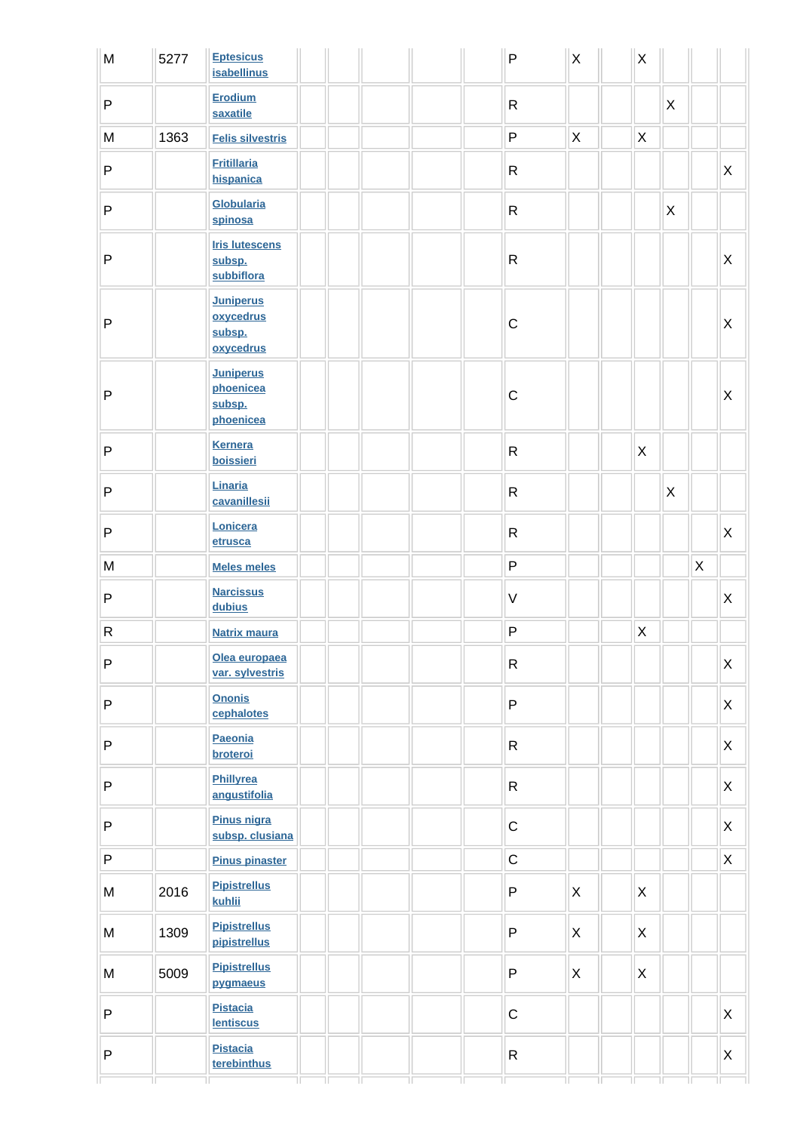| M            | 5277 | <b>Eptesicus</b><br><b>isabellinus</b>               |  | $\mathsf P$  | $\mathsf X$  | $\mathsf X$    |              |   |                           |
|--------------|------|------------------------------------------------------|--|--------------|--------------|----------------|--------------|---|---------------------------|
| $\sf P$      |      | Erodium<br>saxatile                                  |  | $\mathsf{R}$ |              |                | $\mathsf{X}$ |   |                           |
| M            | 1363 | <b>Felis silvestris</b>                              |  | P            | X            | X              |              |   |                           |
| $\sf P$      |      | <b>Fritillaria</b><br>hispanica                      |  | ${\sf R}$    |              |                |              |   | X                         |
| $\sf P$      |      | <b>Globularia</b><br>spinosa                         |  | ${\sf R}$    |              |                | X            |   |                           |
| $\mathsf{P}$ |      | <b>Iris lutescens</b><br>subsp.<br>subbiflora        |  | ${\sf R}$    |              |                |              |   | X                         |
| $\mathsf{P}$ |      | <b>Juniperus</b><br>oxycedrus<br>subsp.<br>oxycedrus |  | $\mathsf C$  |              |                |              |   | $\boldsymbol{\mathsf{X}}$ |
| $\mathsf{P}$ |      | <b>Juniperus</b><br>phoenicea<br>subsp.<br>phoenicea |  | $\mathsf C$  |              |                |              |   | $\pmb{\times}$            |
| $\mathsf{P}$ |      | <b>Kernera</b><br>boissieri                          |  | ${\sf R}$    |              | $\pmb{\times}$ |              |   |                           |
| $\mathsf{P}$ |      | Linaria<br>cavanillesii                              |  | ${\sf R}$    |              |                | $\mathsf{X}$ |   |                           |
| $\sf P$      |      | Lonicera<br>etrusca                                  |  | ${\sf R}$    |              |                |              |   | X                         |
| ${\sf M}$    |      | <b>Meles meles</b>                                   |  | P            |              |                |              | X |                           |
| $\sf P$      |      | <b>Narcissus</b><br>dubius                           |  | $\vee$       |              |                |              |   | X                         |
| ${\sf R}$    |      | <b>Natrix maura</b>                                  |  | $\sf P$      |              | $\mathsf X$    |              |   |                           |
| ${\sf P}$    |      | Olea europaea<br>var. sylvestris                     |  | $\mathsf{R}$ |              |                |              |   | X                         |
| $\sf P$      |      | <b>Ononis</b><br>cephalotes                          |  | P            |              |                |              |   | $\mathsf{X}$              |
| $\sf P$      |      | Paeonia<br>broteroi                                  |  | $\mathsf{R}$ |              |                |              |   | $\mathsf{X}$              |
| $\sf P$      |      | Phillyrea<br>angustifolia                            |  | $\mathsf{R}$ |              |                |              |   | $\mathsf{X}$              |
| $\sf P$      |      | Pinus nigra<br>subsp. clusiana                       |  | $\mathsf C$  |              |                |              |   | X                         |
| $\sf P$      |      | <b>Pinus pinaster</b>                                |  | $\mathsf C$  |              |                |              |   | $\mathsf{X}$              |
| M            | 2016 | <b>Pipistrellus</b><br>kuhlii                        |  | ${\sf P}$    | $\mathsf{X}$ | $\mathsf{X}$   |              |   |                           |
| M            | 1309 | <b>Pipistrellus</b><br>pipistrellus                  |  | P            | X            | $\mathsf{X}$   |              |   |                           |
| M            | 5009 | <b>Pipistrellus</b><br>pygmaeus                      |  | $\sf P$      | $\mathsf{X}$ | $\mathsf{X}$   |              |   |                           |
| $\sf P$      |      | <b>Pistacia</b><br><b>lentiscus</b>                  |  | $\mathsf C$  |              |                |              |   | X                         |
| $\mathsf{P}$ |      | <b>Pistacia</b><br>terebinthus                       |  | $\mathsf{R}$ |              |                |              |   | X                         |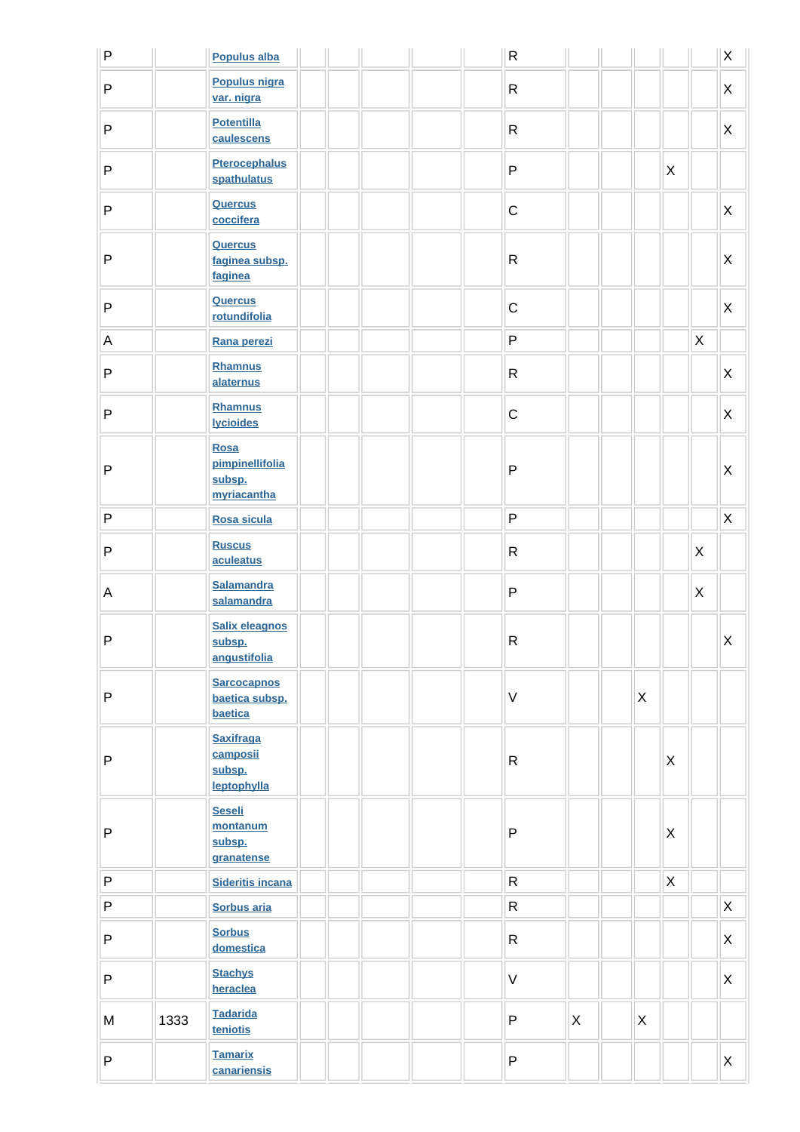| $\sf P$      |      | <b>Populus alba</b>                                     |  |  | ${\sf R}$    |              |   |              |              | $\mathsf X$               |
|--------------|------|---------------------------------------------------------|--|--|--------------|--------------|---|--------------|--------------|---------------------------|
| $\sf P$      |      | Populus nigra<br>var. nigra                             |  |  | $\mathsf{R}$ |              |   |              |              | $\boldsymbol{\mathsf{X}}$ |
| $\sf P$      |      | <b>Potentilla</b><br>caulescens                         |  |  | ${\sf R}$    |              |   |              |              | $\boldsymbol{\mathsf{X}}$ |
| $\sf P$      |      | <b>Pterocephalus</b><br>spathulatus                     |  |  | P            |              |   | $\mathsf{X}$ |              |                           |
| $\sf P$      |      | <b>Quercus</b><br>coccifera                             |  |  | $\mathsf C$  |              |   |              |              | X                         |
| ${\sf P}$    |      | <b>Quercus</b><br>faginea subsp.<br>faginea             |  |  | ${\sf R}$    |              |   |              |              | $\pmb{\times}$            |
| $\sf P$      |      | <b>Quercus</b><br>rotundifolia                          |  |  | $\mathsf C$  |              |   |              |              | X                         |
| A            |      | Rana perezi                                             |  |  | P            |              |   |              | $\mathsf{X}$ |                           |
| $\sf P$      |      | <b>Rhamnus</b><br>alaternus                             |  |  | ${\sf R}$    |              |   |              |              | X                         |
| $\sf P$      |      | <b>Rhamnus</b><br><b>lycioides</b>                      |  |  | $\mathsf C$  |              |   |              |              | $\mathsf{X}$              |
| $\sf P$      |      | <b>Rosa</b><br>pimpinellifolia<br>subsp.<br>myriacantha |  |  | ${\sf P}$    |              |   |              |              | X                         |
| $\sf P$      |      | Rosa sicula                                             |  |  | P            |              |   |              |              | $\boldsymbol{\mathsf{X}}$ |
| $\mathsf{P}$ |      | <b>Ruscus</b><br>aculeatus                              |  |  | ${\sf R}$    |              |   |              | X            |                           |
| A            |      | <b>Salamandra</b><br>salamandra                         |  |  | ${\sf P}$    |              |   |              | $\mathsf{X}$ |                           |
| $\sf P$      |      | <b>Salix eleagnos</b><br>subsp.<br>angustifolia         |  |  | ${\sf R}$    |              |   |              |              | $\mathsf{X}$              |
| P            |      | <b>Sarcocapnos</b><br>baetica subsp.<br>baetica         |  |  | V            |              | X |              |              |                           |
| P            |      | <b>Saxifraga</b><br>camposii<br>subsp.<br>leptophylla   |  |  | $\mathsf{R}$ |              |   | X            |              |                           |
| $\sf P$      |      | <b>Seseli</b><br>montanum<br>subsp.<br>granatense       |  |  | $\sf P$      |              |   | $\mathsf{X}$ |              |                           |
| $\sf P$      |      | <b>Sideritis incana</b>                                 |  |  | $\mathsf{R}$ |              |   | $\mathsf{X}$ |              |                           |
| $\sf P$      |      | <b>Sorbus aria</b>                                      |  |  | $\mathsf{R}$ |              |   |              |              | $\mathsf{X}$              |
| $\sf P$      |      | <b>Sorbus</b><br>domestica                              |  |  | $\mathsf{R}$ |              |   |              |              | X                         |
| $\sf P$      |      | <b>Stachys</b><br>heraclea                              |  |  | $\vee$       |              |   |              |              | X                         |
| M            | 1333 | <b>Tadarida</b><br>teniotis                             |  |  | $\mathsf{P}$ | $\mathsf{X}$ | X |              |              |                           |
| $\sf P$      |      | <b>Tamarix</b><br>canariensis                           |  |  | P            |              |   |              |              | $\mathsf{X}$              |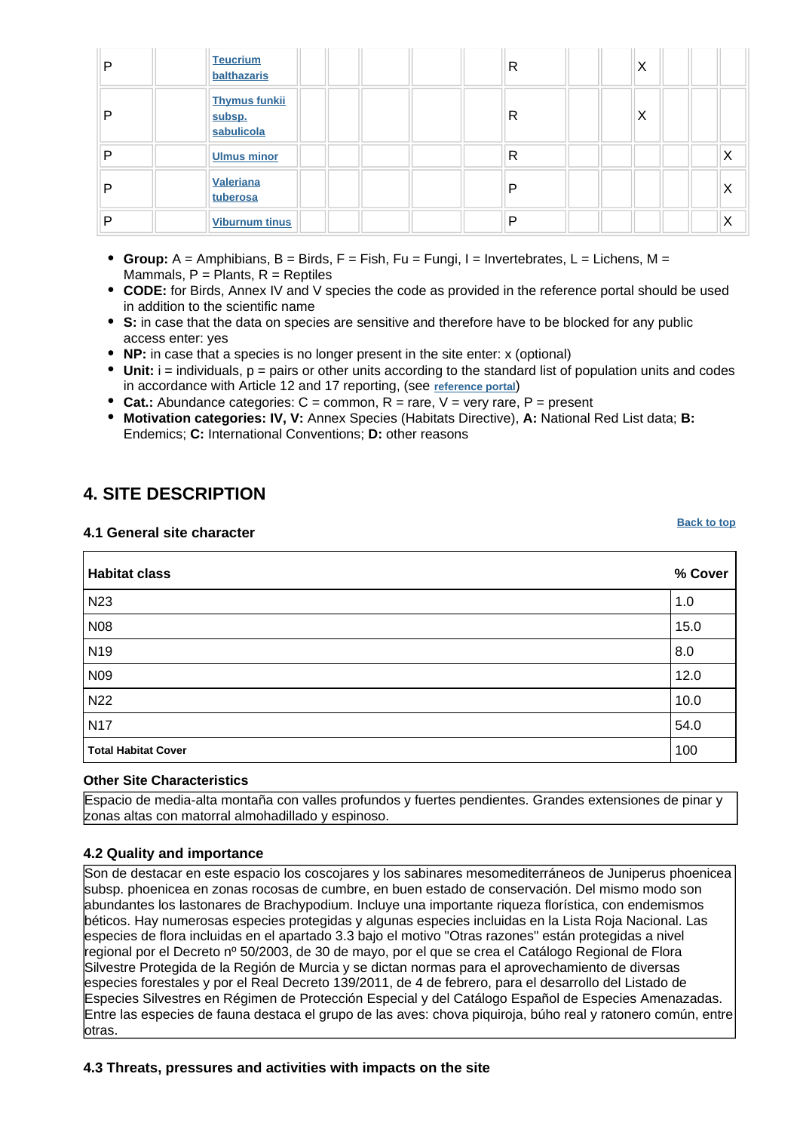| D | <b>Teucrium</b><br>balthazaris               | R | Χ |
|---|----------------------------------------------|---|---|
| D | <b>Thymus funkii</b><br>subsp.<br>sabulicola | R | Χ |
| D | <b>Ulmus minor</b>                           | R | Х |
| D | Valeriana<br>tuberosa                        | D | ⋏ |
| D | <b>Viburnum tinus</b>                        | D | Х |

- **Group:** A = Amphibians, B = Birds, F = Fish, Fu = Fungi, I = Invertebrates, L = Lichens, M = Mammals,  $P =$  Plants,  $R =$  Reptiles
- **CODE:** for Birds, Annex IV and V species the code as provided in the reference portal should be used in addition to the scientific name
- **S:** in case that the data on species are sensitive and therefore have to be blocked for any public access enter: yes
- **NP:** in case that a species is no longer present in the site enter: x (optional)
- $\bullet$  Unit:  $i =$  individuals,  $p =$  pairs or other units according to the standard list of population units and codes in accordance with Article 12 and 17 reporting, (see **[reference portal](http://bd.eionet.europa.eu/activities/Natura_2000/reference_portal)**)
- **Cat.:** Abundance categories: C = common, R = rare, V = very rare, P = present
- **Motivation categories: IV, V:** Annex Species (Habitats Directive), **A:** National Red List data; **B:** Endemics; **C:** International Conventions; **D:** other reasons

# <span id="page-6-0"></span>**4. SITE DESCRIPTION**

#### **4.1 General site character**

**Habitat class % Cover** N23  $\vert$  1.0 N08  $\vert$  15.0 N19  $\vert$  8.0 N09 12.0 N22  $\vert$  10.0 N17  $\vert$  54.0 **Total Habitat Cover** 100

### **Other Site Characteristics**

Espacio de media-alta montaña con valles profundos y fuertes pendientes. Grandes extensiones de pinar y zonas altas con matorral almohadillado y espinoso.

### **4.2 Quality and importance**

Son de destacar en este espacio los coscojares y los sabinares mesomediterráneos de Juniperus phoenicea subsp. phoenicea en zonas rocosas de cumbre, en buen estado de conservación. Del mismo modo son abundantes los lastonares de Brachypodium. Incluye una importante riqueza florística, con endemismos béticos. Hay numerosas especies protegidas y algunas especies incluidas en la Lista Roja Nacional. Las especies de flora incluidas en el apartado 3.3 bajo el motivo "Otras razones" están protegidas a nivel regional por el Decreto nº 50/2003, de 30 de mayo, por el que se crea el Catálogo Regional de Flora Silvestre Protegida de la Región de Murcia y se dictan normas para el aprovechamiento de diversas especies forestales y por el Real Decreto 139/2011, de 4 de febrero, para el desarrollo del Listado de Especies Silvestres en Régimen de Protección Especial y del Catálogo Español de Especies Amenazadas. Entre las especies de fauna destaca el grupo de las aves: chova piquiroja, búho real y ratonero común, entre otras.

### **4.3 Threats, pressures and activities with impacts on the site**

**[Back to top](#page-0-0)**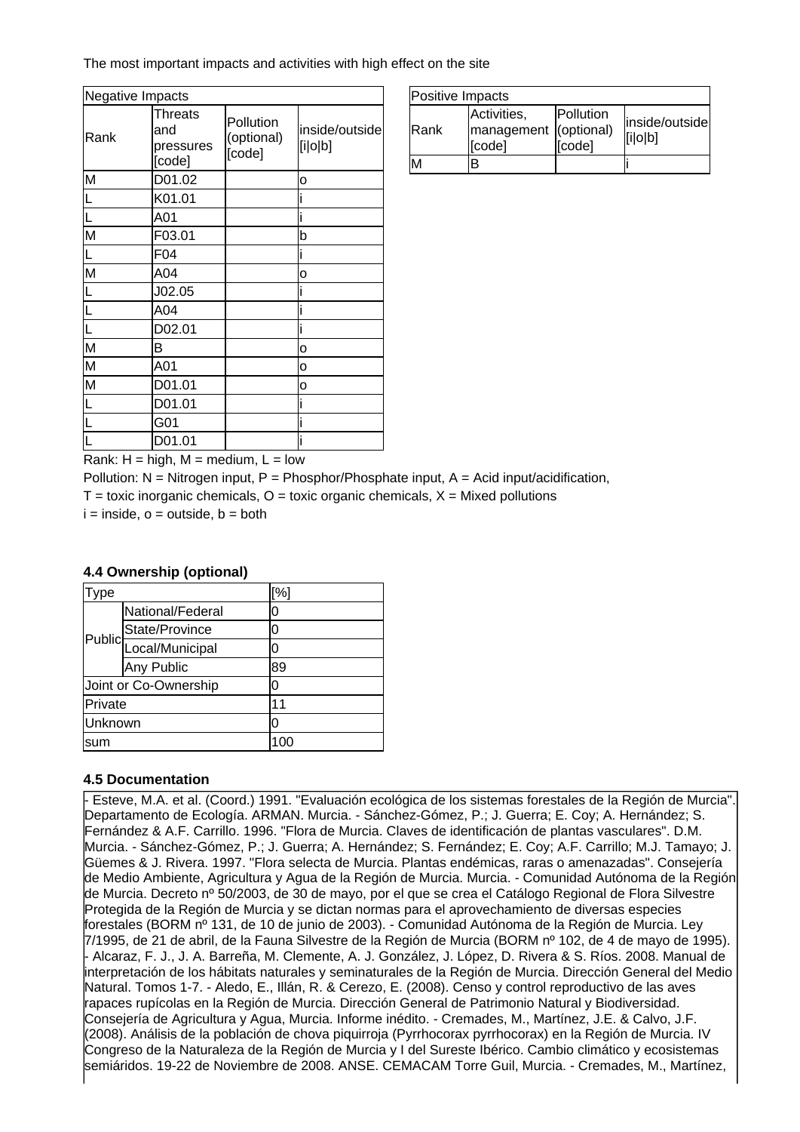The most important impacts and activities with high effect on the site

| Negative Impacts |                                       |                                   |                           |
|------------------|---------------------------------------|-----------------------------------|---------------------------|
| Rank             | Threats<br>and<br>pressures<br>[code] | Pollution<br>(optional)<br>[code] | inside/outside<br>[i o b] |
| M                | D01.02                                |                                   | O                         |
|                  | K01.01                                |                                   |                           |
| L                | A01                                   |                                   |                           |
| M                | F03.01                                |                                   | þ                         |
|                  | F04                                   |                                   |                           |
| M                | A04                                   |                                   | O                         |
|                  | J02.05                                |                                   |                           |
|                  | A04                                   |                                   |                           |
|                  | D02.01                                |                                   |                           |
| M                | B                                     |                                   | 0                         |
| M                | A01                                   |                                   | o                         |
| M                | D01.01                                |                                   | о                         |
|                  | D01.01                                |                                   |                           |
|                  | G01                                   |                                   |                           |
|                  | D01.01                                |                                   |                           |

| Positive Impacts |                                                |                     |                           |
|------------------|------------------------------------------------|---------------------|---------------------------|
| <b>IRank</b>     | Activities,<br>management (optional)<br>[code] | Pollution<br>[code] | inside/outside<br>[ilolb] |
|                  |                                                |                     |                           |

Rank:  $H = high$ ,  $M = medium$ ,  $L = low$ 

Pollution:  $N =$  Nitrogen input, P = Phosphor/Phosphate input, A = Acid input/acidification,

 $T =$  toxic inorganic chemicals,  $Q =$  toxic organic chemicals,  $X =$  Mixed pollutions

 $i = inside, o = outside, b = both$ 

### **4.4 Ownership (optional)**

| ype     |                        | [%] |
|---------|------------------------|-----|
|         | National/Federal       | 0   |
|         | State/Province         | 0   |
|         | Public Local/Municipal | 0   |
|         | Any Public             | 89  |
|         | Joint or Co-Ownership  | 0   |
| Private |                        | 11  |
| Unknown |                        | 0   |
| sum     |                        | 100 |

### **4.5 Documentation**

- Esteve, M.A. et al. (Coord.) 1991. "Evaluación ecológica de los sistemas forestales de la Región de Murcia". Departamento de Ecología. ARMAN. Murcia. - Sánchez-Gómez, P.; J. Guerra; E. Coy; A. Hernández; S. Fernández & A.F. Carrillo. 1996. "Flora de Murcia. Claves de identificación de plantas vasculares". D.M. Murcia.
- Sánchez-Gómez, P.; J. Guerra; A. Hernández; S. Fernández; E. Coy; A.F. Carrillo; M.J. Tamayo; J. Güemes & J. Rivera. 1997. "Flora selecta de Murcia. Plantas endémicas, raras o amenazadas". Consejería de Medio Ambiente, Agricultura y Agua de la Región de Murcia. Murcia. - Comunidad Autónoma de la Región de Murcia. Decreto nº 50/2003, de 30 de mayo, por el que se crea el Catálogo Regional de Flora Silvestre Protegida de la Región de Murcia y se dictan normas para el aprovechamiento de diversas especies forestales (BORM nº 131, de 10 de junio de 2003). - Comunidad Autónoma de la Región de Murcia. Lev 7/1995, de 21 de abril, de la Fauna Silvestre de la Región de Murcia (BORM nº 102, de 4 de mayo de 1995). - Alcaraz, F. J., J. A. Barreña, M. Clemente, A. J. González, J. López, D. Rivera & S. Ríos. 2008. Manual de interpretación de los hábitats naturales y seminaturales de la Región de Murcia. Dirección General del Medio Natural. Tomos 1-7. - Aledo, E., Illán, R. & Cerezo, E. (2008). Censo y control reproductivo de las aves rapaces rupícolas en la Región de Murcia. Dirección General de Patrimonio Natural y Biodiversidad. Consejería de Agricultura y Agua, Murcia. Informe inédito.
- Cremades, M., Martínez, J.E. & Calvo, J.F. (2008). Análisis de la población de chova piquirroja (Pyrrhocorax pyrrhocorax) en la Región de Murcia. IV Congreso de la Naturaleza de la Región de Murcia y I del Sureste Ibérico. Cambio climático y ecosistemas semiáridos. 19-22 de Noviembre de 2008. ANSE. CEMACAM Torre Guil, Murcia.
- Cremades, M., Martínez,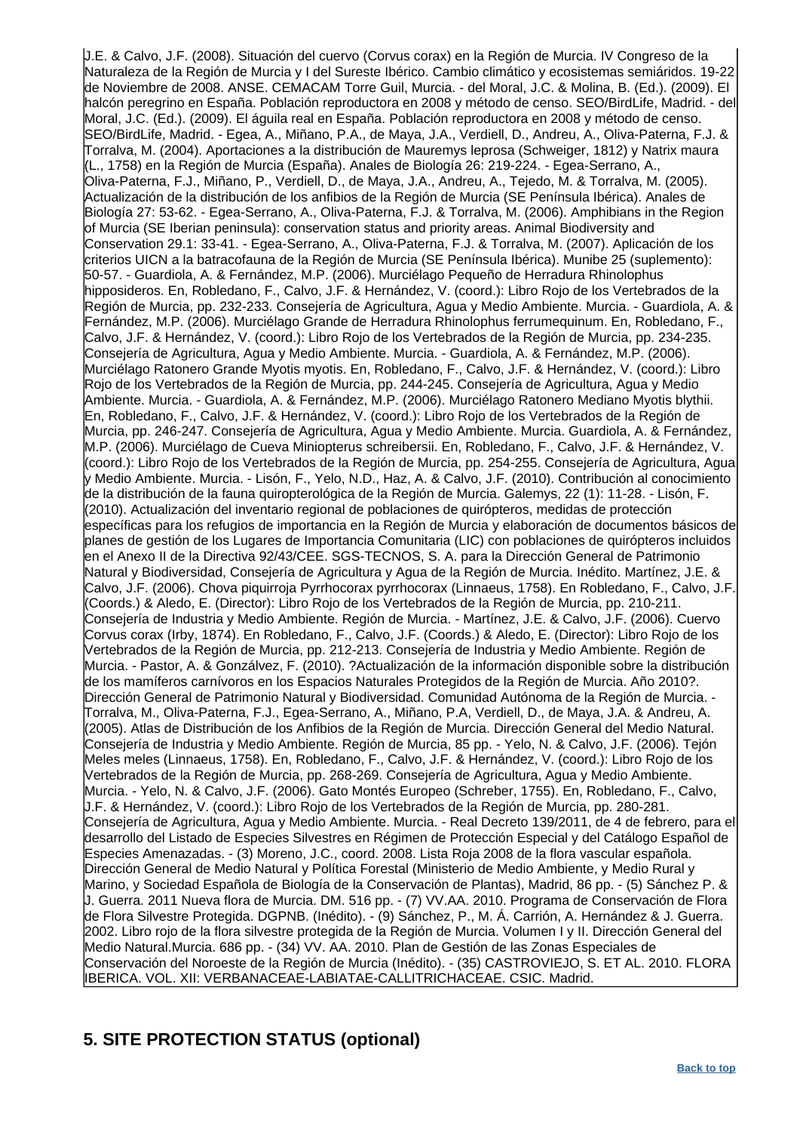J.E. & Calvo, J.F. (2008). Situación del cuervo (Corvus corax) en la Región de Murcia. IV Congreso de la Naturaleza de la Región de Murcia y I del Sureste Ibérico. Cambio climático y ecosistemas semiáridos. 19-22 de Noviembre de 2008. ANSE. CEMACAM Torre Guil, Murcia.
- del Moral, J.C. & Molina, B. (Ed.). (2009). El halcón peregrino en España. Población reproductora en 2008 y método de censo. SEO/BirdLife, Madrid. - de Moral, J.C. (Ed.). (2009). El águila real en España. Población reproductora en 2008 y método de censo. SEO/BirdLife, Madrid.
- Egea, A., Miñano, P.A., de Maya, J.A., Verdiell, D., Andreu, A., Oliva-Paterna, F.J. & Torralva, M. (2004). Aportaciones a la distribución de Mauremys leprosa (Schweiger, 1812) y Natrix maura (L., 1758) en la Región de Murcia (España). Anales de Biología 26: 219-224.
- Egea-Serrano, A., Oliva-Paterna, F.J., Miñano, P., Verdiell, D., de Maya, J.A., Andreu, A., Tejedo, M. & Torralva, M. (2005). Actualización de la distribución de los anfibios de la Región de Murcia (SE Península Ibérica). Anales de Biología 27: 53-62. - Egea-Serrano, A., Oliva-Paterna, F.J. & Torralva, M. (2006). Amphibians in the Region of Murcia (SE Iberian peninsula): conservation status and priority areas. Animal Biodiversity and Conservation 29.1: 33-41. - Egea-Serrano, A., Oliva-Paterna, F.J. & Torralva, M. (2007). Aplicación de los criterios UICN a la batracofauna de la Región de Murcia (SE Península Ibérica). Munibe 25 (suplemento): 50-57.
- Guardiola, A. & Fernández, M.P. (2006). Murciélago Pequeño de Herradura Rhinolophus hipposideros. En, Robledano, F., Calvo, J.F. & Hernández, V. (coord.): Libro Rojo de los Vertebrados de la Región de Murcia, pp. 232-233. Consejería de Agricultura, Agua y Medio Ambiente. Murcia.
- Guardiola, A. & Fernández, M.P. (2006). Murciélago Grande de Herradura Rhinolophus ferrumequinum. En, Robledano, F., Calvo, J.F. & Hernández, V. (coord.): Libro Rojo de los Vertebrados de la Región de Murcia, pp. 234-235. Consejería de Agricultura, Agua y Medio Ambiente. Murcia.
- Guardiola, A. & Fernández, M.P. (2006). Murciélago Ratonero Grande Myotis myotis. En, Robledano, F., Calvo, J.F. & Hernández, V. (coord.): Libro Rojo de los Vertebrados de la Región de Murcia, pp. 244-245. Consejería de Agricultura, Agua y Medio Ambiente. Murcia. - Guardiola, A. & Fernández, M.P. (2006). Murciélago Ratonero Mediano Myotis blythii. En, Robledano, F., Calvo, J.F. & Hernández, V. (coord.): Libro Rojo de los Vertebrados de la Región de Murcia, pp. 246-247. Consejería de Agricultura, Agua y Medio Ambiente. Murcia. Guardiola, A. & Fernández, M.P. (2006). Murciélago de Cueva Miniopterus schreibersii. En, Robledano, F., Calvo, J.F. & Hernández, V. (coord.): Libro Rojo de los Vertebrados de la Región de Murcia, pp. 254-255. Consejería de Agricultura, Agua y Medio Ambiente. Murcia. - Lisón, F., Yelo, N.D., Haz, A. & Calvo, J.F. (2010). Contribución al conocimiento de la distribución de la fauna quiropterológica de la Región de Murcia. Galemys, 22 (1): 11-28.
- Lisón, F. (2010). Actualización del inventario regional de poblaciones de quirópteros, medidas de protección específicas para los refugios de importancia en la Región de Murcia y elaboración de documentos básicos de planes de gestión de los Lugares de Importancia Comunitaria (LIC) con poblaciones de quirópteros incluidos en el Anexo II de la Directiva 92/43/CEE. SGS-TECNOS, S. A. para la Dirección General de Patrimonio Natural y Biodiversidad, Consejería de Agricultura y Agua de la Región de Murcia. Inédito. Martínez, J.E. & Calvo, J.F. (2006). Chova piquirroja Pyrrhocorax pyrrhocorax (Linnaeus, 1758). En Robledano, F., Calvo, J.F. (Coords.) & Aledo, E. (Director): Libro Rojo de los Vertebrados de la Región de Murcia, pp. 210-211. Consejería de Industria y Medio Ambiente. Región de Murcia.
- Martínez, J.E. & Calvo, J.F. (2006). Cuervo Corvus corax (Irby, 1874). En Robledano, F., Calvo, J.F. (Coords.) & Aledo, E. (Director): Libro Rojo de los Vertebrados de la Región de Murcia, pp. 212-213. Consejería de Industria y Medio Ambiente. Región de Murcia.
- Pastor, A. & Gonzálvez, F. (2010). ?Actualización de la información disponible sobre la distribución de los mamíferos carnívoros en los Espacios Naturales Protegidos de la Región de Murcia. Año 2010?. Dirección General de Patrimonio Natural y Biodiversidad. Comunidad Autónoma de la Región de Murcia. Torralva, M., Oliva-Paterna, F.J., Egea-Serrano, A., Miñano, P.A, Verdiell, D., de Maya, J.A. & Andreu, A. (2005). Atlas de Distribución de los Anfibios de la Región de Murcia. Dirección General del Medio Natural. Consejería de Industria y Medio Ambiente. Región de Murcia, 85 pp.
- Yelo, N. & Calvo, J.F. (2006). Tejón Meles meles (Linnaeus, 1758). En, Robledano, F., Calvo, J.F. & Hernández, V. (coord.): Libro Rojo de los Vertebrados de la Región de Murcia, pp. 268-269. Consejería de Agricultura, Agua y Medio Ambiente. Murcia.
- Yelo, N. & Calvo, J.F. (2006). Gato Montés Europeo (Schreber, 1755). En, Robledano, F., Calvo, J.F. & Hernández, V. (coord.): Libro Rojo de los Vertebrados de la Región de Murcia, pp. 280-281. Conseiería de Agricultura, Agua y Medio Ambiente, Murcia. - Real Decreto 139/2011, de 4 de febrero, para e desarrollo del Listado de Especies Silvestres en Régimen de Protección Especial y del Catálogo Español de Especies Amenazadas.
- (3) Moreno, J.C., coord. 2008. Lista Roja 2008 de la flora vascular española. Dirección General de Medio Natural y Política Forestal (Ministerio de Medio Ambiente, y Medio Rural y Marino, y Sociedad Española de Biología de la Conservación de Plantas), Madrid, 86 pp.
- (5) Sánchez P. & J. Guerra. 2011 Nueva flora de Murcia. DM. 516 pp.
- (7) VV.AA. 2010. Programa de Conservación de Flora de Flora Silvestre Protegida. DGPNB. (Inédito).
- (9) Sánchez, P., M. Á. Carrión, A. Hernández & J. Guerra. 2002. Libro rojo de la flora silvestre protegida de la Región de Murcia. Volumen I y II. Dirección General del Medio Natural.Murcia. 686 pp.
- (34) VV. AA. 2010. Plan de Gestión de las Zonas Especiales de Conservación del Noroeste de la Región de Murcia (Inédito).
- (35) CASTROVIEJO, S. ET AL. 2010. FLORA IBERICA. VOL. XII: VERBANACEAE-LABIATAE-CALLITRICHACEAE. CSIC. Madrid.

# <span id="page-8-0"></span>**5. SITE PROTECTION STATUS (optional)**